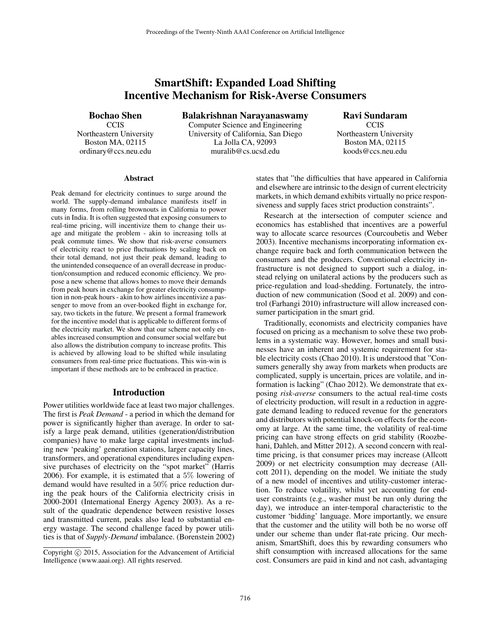# SmartShift: Expanded Load Shifting Incentive Mechanism for Risk-Averse Consumers

Bochao Shen

**CCIS** Northeastern University Boston MA, 02115 ordinary@ccs.neu.edu

Balakrishnan Narayanaswamy Computer Science and Engineering University of California, San Diego La Jolla CA, 92093 muralib@cs.ucsd.edu

Ravi Sundaram **CCIS** Northeastern University Boston MA, 02115 koods@ccs.neu.edu

#### Abstract

Peak demand for electricity continues to surge around the world. The supply-demand imbalance manifests itself in many forms, from rolling brownouts in California to power cuts in India. It is often suggested that exposing consumers to real-time pricing, will incentivize them to change their usage and mitigate the problem - akin to increasing tolls at peak commute times. We show that risk-averse consumers of electricity react to price fluctuations by scaling back on their total demand, not just their peak demand, leading to the unintended consequence of an overall decrease in production/consumption and reduced economic efficiency. We propose a new scheme that allows homes to move their demands from peak hours in exchange for greater electricity consumption in non-peak hours - akin to how airlines incentivize a passenger to move from an over-booked flight in exchange for, say, two tickets in the future. We present a formal framework for the incentive model that is applicable to different forms of the electricity market. We show that our scheme not only enables increased consumption and consumer social welfare but also allows the distribution company to increase profits. This is achieved by allowing load to be shifted while insulating consumers from real-time price fluctuations. This win-win is important if these methods are to be embraced in practice.

#### Introduction

Power utilities worldwide face at least two major challenges. The first is *Peak Demand* - a period in which the demand for power is significantly higher than average. In order to satisfy a large peak demand, utilities (generation/distribution companies) have to make large capital investments including new 'peaking' generation stations, larger capacity lines, transformers, and operational expenditures including expensive purchases of electricity on the "spot market" (Harris 2006). For example, it is estimated that a 5% lowering of demand would have resulted in a 50% price reduction during the peak hours of the California electricity crisis in 2000-2001 (International Energy Agency 2003). As a result of the quadratic dependence between resistive losses and transmitted current, peaks also lead to substantial energy wastage. The second challenge faced by power utilities is that of *Supply-Demand* imbalance. (Borenstein 2002)

states that "the difficulties that have appeared in California and elsewhere are intrinsic to the design of current electricity markets, in which demand exhibits virtually no price responsiveness and supply faces strict production constraints".

Research at the intersection of computer science and economics has established that incentives are a powerful way to allocate scarce resources (Courcoubetis and Weber 2003). Incentive mechanisms incorporating information exchange require back and forth communication between the consumers and the producers. Conventional electricity infrastructure is not designed to support such a dialog, instead relying on unilateral actions by the producers such as price-regulation and load-shedding. Fortunately, the introduction of new communication (Sood et al. 2009) and control (Farhangi 2010) infrastructure will allow increased consumer participation in the smart grid.

Traditionally, economists and electricity companies have focused on pricing as a mechanism to solve these two problems in a systematic way. However, homes and small businesses have an inherent and systemic requirement for stable electricity costs (Chao 2010). It is understood that "Consumers generally shy away from markets when products are complicated, supply is uncertain, prices are volatile, and information is lacking" (Chao 2012). We demonstrate that exposing *risk-averse* consumers to the actual real-time costs of electricity production, will result in a reduction in aggregate demand leading to reduced revenue for the generators and distributors with potential knock-on effects for the economy at large. At the same time, the volatility of real-time pricing can have strong effects on grid stability (Roozbehani, Dahleh, and Mitter 2012). A second concern with realtime pricing, is that consumer prices may increase (Allcott 2009) or net electricity consumption may decrease (Allcott 2011), depending on the model. We initiate the study of a new model of incentives and utility-customer interaction. To reduce volatility, whilst yet accounting for enduser constraints (e.g., washer must be run only during the day), we introduce an inter-temporal characteristic to the customer 'bidding' language. More importantly, we ensure that the customer and the utility will both be no worse off under our scheme than under flat-rate pricing. Our mechanism, SmartShift, does this by rewarding consumers who shift consumption with increased allocations for the same cost. Consumers are paid in kind and not cash, advantaging

Copyright  $\odot$  2015, Association for the Advancement of Artificial Intelligence (www.aaai.org). All rights reserved.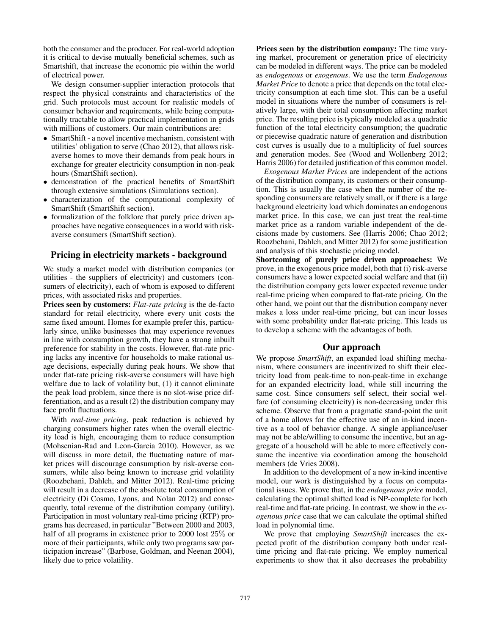both the consumer and the producer. For real-world adoption it is critical to devise mutually beneficial schemes, such as Smartshift, that increase the economic pie within the world of electrical power.

We design consumer-supplier interaction protocols that respect the physical constraints and characteristics of the grid. Such protocols must account for realistic models of consumer behavior and requirements, while being computationally tractable to allow practical implementation in grids with millions of customers. Our main contributions are:

- SmartShift a novel incentive mechanism, consistent with utilities' obligation to serve (Chao 2012), that allows riskaverse homes to move their demands from peak hours in exchange for greater electricity consumption in non-peak hours (SmartShift section).
- demonstration of the practical benefits of SmartShift through extensive simulations (Simulations section).
- characterization of the computational complexity of SmartShift (SmartShift section).
- formalization of the folklore that purely price driven approaches have negative consequences in a world with riskaverse consumers (SmartShift section).

# Pricing in electricity markets - background

We study a market model with distribution companies (or utilities - the suppliers of electricity) and customers (consumers of electricity), each of whom is exposed to different prices, with associated risks and properties.

Prices seen by customers: *Flat-rate pricing* is the de-facto standard for retail electricity, where every unit costs the same fixed amount. Homes for example prefer this, particularly since, unlike businesses that may experience revenues in line with consumption growth, they have a strong inbuilt preference for stability in the costs. However, flat-rate pricing lacks any incentive for households to make rational usage decisions, especially during peak hours. We show that under flat-rate pricing risk-averse consumers will have high welfare due to lack of volatility but, (1) it cannot eliminate the peak load problem, since there is no slot-wise price differentiation, and as a result (2) the distribution company may face profit fluctuations.

With *real-time pricing*, peak reduction is achieved by charging consumers higher rates when the overall electricity load is high, encouraging them to reduce consumption (Mohsenian-Rad and Leon-Garcia 2010). However, as we will discuss in more detail, the fluctuating nature of market prices will discourage consumption by risk-averse consumers, while also being known to increase grid volatility (Roozbehani, Dahleh, and Mitter 2012). Real-time pricing will result in a decrease of the absolute total consumption of electricity (Di Cosmo, Lyons, and Nolan 2012) and consequently, total revenue of the distribution company (utility). Participation in most voluntary real-time pricing (RTP) programs has decreased, in particular "Between 2000 and 2003, half of all programs in existence prior to 2000 lost 25% or more of their participants, while only two programs saw participation increase" (Barbose, Goldman, and Neenan 2004), likely due to price volatility.

Prices seen by the distribution company: The time varying market, procurement or generation price of electricity can be modeled in different ways. The price can be modeled as *endogenous* or *exogenous*. We use the term *Endogenous Market Price* to denote a price that depends on the total electricity consumption at each time slot. This can be a useful model in situations where the number of consumers is relatively large, with their total consumption affecting market price. The resulting price is typically modeled as a quadratic function of the total electricity consumption; the quadratic or piecewise quadratic nature of generation and distribution cost curves is usually due to a multiplicity of fuel sources and generation modes. See (Wood and Wollenberg 2012; Harris 2006) for detailed justification of this common model.

*Exogenous Market Prices* are independent of the actions of the distribution company, its customers or their consumption. This is usually the case when the number of the responding consumers are relatively small, or if there is a large background electricity load which dominates an endogenous market price. In this case, we can just treat the real-time market price as a random variable independent of the decisions made by customers. See (Harris 2006; Chao 2012; Roozbehani, Dahleh, and Mitter 2012) for some justification and analysis of this stochastic pricing model.

Shortcoming of purely price driven approaches: We prove, in the exogenous price model, both that (i) risk-averse consumers have a lower expected social welfare and that (ii) the distribution company gets lower expected revenue under real-time pricing when compared to flat-rate pricing. On the other hand, we point out that the distribution company never makes a loss under real-time pricing, but can incur losses with some probability under flat-rate pricing. This leads us to develop a scheme with the advantages of both.

### Our approach

We propose *SmartShift*, an expanded load shifting mechanism, where consumers are incentivized to shift their electricity load from peak-time to non-peak-time in exchange for an expanded electricity load, while still incurring the same cost. Since consumers self select, their social welfare (of consuming electricity) is non-decreasing under this scheme. Observe that from a pragmatic stand-point the unit of a home allows for the effective use of an in-kind incentive as a tool of behavior change. A single appliance/user may not be able/willing to consume the incentive, but an aggregate of a household will be able to more effectively consume the incentive via coordination among the household members (de Vries 2008).

In addition to the development of a new in-kind incentive model, our work is distinguished by a focus on computational issues. We prove that, in the *endogenous price* model, calculating the optimal shifted load is NP-complete for both real-time and flat-rate pricing. In contrast, we show in the *exogenous price* case that we can calculate the optimal shifted load in polynomial time.

We prove that employing *SmartShift* increases the expected profit of the distribution company both under realtime pricing and flat-rate pricing. We employ numerical experiments to show that it also decreases the probability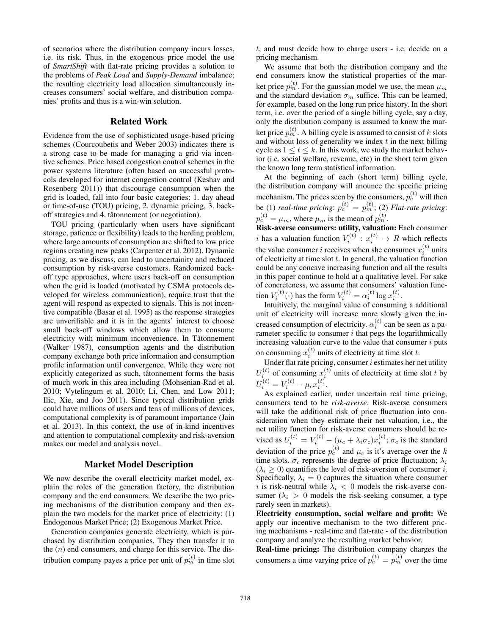of scenarios where the distribution company incurs losses, i.e. its risk. Thus, in the exogenous price model the use of *SmartShift* with flat-rate pricing provides a solution to the problems of *Peak Load* and *Supply-Demand* imbalance; the resulting electricity load allocation simultaneously increases consumers' social welfare, and distribution companies' profits and thus is a win-win solution.

### Related Work

Evidence from the use of sophisticated usage-based pricing schemes (Courcoubetis and Weber 2003) indicates there is a strong case to be made for managing a grid via incentive schemes. Price based congestion control schemes in the power systems literature (often based on successful protocols developed for internet congestion control (Keshav and Rosenberg 2011)) that discourage consumption when the grid is loaded, fall into four basic categories: 1. day ahead or time-of-use (TOU) pricing, 2. dynamic pricing, 3. backoff strategies and 4. tâtonnement (or negotiation).

TOU pricing (particularly when users have significant storage, patience or flexibility) leads to the herding problem, where large amounts of consumption are shifted to low price regions creating new peaks (Carpenter et al. 2012). Dynamic pricing, as we discuss, can lead to uncertainity and reduced consumption by risk-averse customers. Randomized backoff type approaches, where users back-off on consumption when the grid is loaded (motivated by CSMA protocols developed for wireless communication), require trust that the agent will respond as expected to signals. This is not incentive compatible (Basar et al. 1995) as the response strategies are unverifiable and it is in the agents' interest to choose small back-off windows which allow them to consume electricity with minimum inconvenience. In Tâtonnement (Walker 1987), consumption agents and the distribution company exchange both price information and consumption profile information until convergence. While they were not explicitly categorized as such, tâtonnement forms the basis of much work in this area including (Mohsenian-Rad et al. 2010; Vytelingum et al. 2010; Li, Chen, and Low 2011; Ilic, Xie, and Joo 2011). Since typical distribution grids could have millions of users and tens of millions of devices, computational complexity is of paramount importance (Jain et al. 2013). In this context, the use of in-kind incentives and attention to computational complexity and risk-aversion makes our model and analysis novel.

# Market Model Description

We now describe the overall electricity market model, explain the roles of the generation factory, the distribution company and the end consumers. We describe the two pricing mechanisms of the distribution company and then explain the two models for the market price of electricity: (1) Endogenous Market Price; (2) Exogenous Market Price.

Generation companies generate electricity, which is purchased by distribution companies. They then transfer it to the  $(n)$  end consumers, and charge for this service. The distribution company payes a price per unit of  $p_m^{(t)}$  in time slot

t, and must decide how to charge users - i.e. decide on a pricing mechanism.

We assume that both the distribution company and the end consumers know the statistical properties of the market price  $p_m^{(t)}$ . For the gaussian model we use, the mean  $\mu_m$ and the standard deviation  $\sigma_m$  suffice. This can be learned, for example, based on the long run price history. In the short term, i.e. over the period of a single billing cycle, say a day, only the distribution company is assumed to know the market price  $p_m^{(t)}$ . A billing cycle is assumed to consist of  $k$  slots and without loss of generality we index  $t$  in the next billing cycle as  $1 \le t \le k$ . In this work, we study the market behavior (i.e. social welfare, revenue, etc) in the short term given the known long term statistical information.

At the beginning of each (short term) billing cycle, the distribution company will anounce the specific pricing mechanism. The prices seen by the consumers,  $p_c^{(t)}$  will then be (1) *real-time pricing*:  $p_c^{(t)} = p_m^{(t)}$ ; (2) *Flat-rate pricing*:  $p_c^{(t)} = \mu_m$ , where  $\mu_m$  is the mean of  $p_m^{(t)}$ .

Risk-averse consumers: utility, valuation: Each consumer i has a valuation function  $V_i^{(t)}$  :  $x_i^{(t)} \rightarrow R$  which reflects the value consumer *i* receives when she consumes  $x_i^{(t)}$  units of electricity at time slot  $t$ . In general, the valuation function could be any concave increasing function and all the results in this paper continue to hold at a qualitative level. For sake of concreteness, we assume that consumers' valuation function  $V_i^{(t)}(\cdot)$  has the form  $V_i^{(t)} = \alpha_i^{(t)} \log x_i^{(t)}$ .

Intuitively, the marginal value of consuming a additional unit of electricity will increase more slowly given the increased consumption of electricity.  $\alpha_i^{(t)}$  can be seen as a parameter specific to consumer  $i$  that pegs the logarithmically increasing valuation curve to the value that consumer  $i$  puts on consuming  $x_i^{(t)}$  units of electricity at time slot t.

Under flat rate pricing, consumer  $i$  estimates her net utility  $U_i^{(t)}$  of consuming  $x_i^{(t)}$  units of electricity at time slot t by  $U_i^{(t)} = V_i^{(t)} - \mu_c x_i^{(t)}.$ 

As explained earlier, under uncertain real time pricing, consumers tend to be *risk-averse*. Risk-averse consumers will take the additional risk of price fluctuation into consideration when they estimate their net valuation, i.e., the net utility function for risk-averse consumers should be revised as  $U_i^{(t)} = V_i^{(t)} - (\mu_c + \lambda_i \sigma_c) x_i^{(t)}$ ;  $\sigma_c$  is the standard deviation of the price  $p_c^{(t)}$  and  $\mu_c$  is it's average over the k time slots.  $\sigma_c$  represents the degree of price fluctuation;  $\lambda_i$  $(\lambda_i \geq 0)$  quantifies the level of risk-aversion of consumer *i*. Specifically,  $\lambda_i = 0$  captures the situation where consumer i is risk-neutral while  $\lambda_i < 0$  models the risk-averse consumer ( $\lambda_i > 0$  models the risk-seeking consumer, a type rarely seen in markets).

Electricity consumption, social welfare and profit: We apply our incentive mechanism to the two different pricing mechanisms - real-time and flat-rate - of the distribution company and analyze the resulting market behavior.

Real-time pricing: The distribution company charges the consumers a time varying price of  $p_c^{(t)} = p_m^{(t)}$  over the time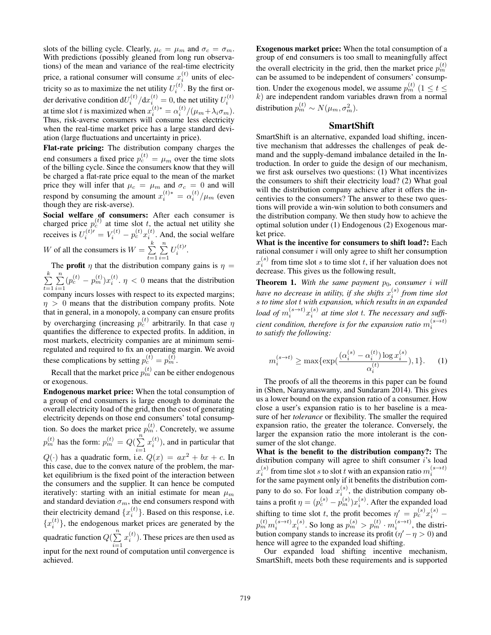slots of the billing cycle. Clearly,  $\mu_c = \mu_m$  and  $\sigma_c = \sigma_m$ . With predictions (possibly gleaned from long run observations) of the mean and variance of the real-time electricity price, a rational consumer will consume  $x_i^{(t)}$  units of electricity so as to maximize the net utility  $U_i^{(t)}$ . By the first ori der derivative condition d $U_i^{(t)}/dx_i^{(t)} = 0$ , the net utility  $U_i^{(t)}$ at time slot t is maximized when  $x_i^{(t)*} = \alpha_i^{(t)} / (\mu_m + \lambda_i \sigma_m)$ . Thus, risk-averse consumers will consume less electricity when the real-time market price has a large standard deviation (large fluctuations and uncertainty in price).

Flat-rate pricing: The distribution company charges the end consumers a fixed price  $p_c^{(t)} = \mu_m$  over the time slots of the billing cycle. Since the consumers know that they will be charged a flat-rate price equal to the mean of the market price they will infer that  $\mu_c = \mu_m$  and  $\sigma_c = 0$  and will respond by consuming the amount  $x_i^{(t)*} = \alpha_i^{(t)} / \mu_m$  (even though they are risk-averse).

Social welfare of consumers: After each consumer is charged price  $p_c^{(t)}$  at time slot t, the actual net utility she receives is  $U_i^{(t)} = V_i^{(t)} - p_c^{(t)} x_i^{(t)}$ . And, the social welfare W of all the consumers is  $W = \sum_{n=1}^{k} X_n^k$  $\sum_{n=1}^{\infty}$  $U_i^{(t)\prime}.$ 

 $t=1$  $i=1$ The **profit**  $\eta$  that the distribution company gains is  $\eta$  =  $\sum_{i=1}^{k}$  $t=1$  $\sum_{n=1}^{\infty}$  $i=1$  $(p_c^{(t)} - p_m^{(t)})x_i^{(t)}$ .  $\eta < 0$  means that the distribution company incurs losses with respect to its expected margins;  $\eta > 0$  means that the distribution company profits. Note that in general, in a monopoly, a company can ensure profits by overcharging (increasing  $p_c^{(t)}$  arbitrarily. In that case  $\eta$ quantifies the difference to expected profits. In addition, in most markets, electricity companies are at minimum semiregulated and required to fix an operating margin. We avoid these complications by setting  $p_c^{(t)} = p_m^{(t)}$ .

Recall that the market price  $p_m^{(t)}$  can be either endogenous or exogenous.

Endogenous market price: When the total consumption of a group of end consumers is large enough to dominate the overall electricity load of the grid, then the cost of generating electricity depends on those end consumers' total consumption. So does the market price  $p_m^{(t)}$ . Concretely, we assume  $p_m^{(t)}$  has the form:  $p_m^{(t)} = Q(\sum_{n=1}^{n}$  $i=1$  $x_i^{(t)}$ ), and in particular that  $Q(\cdot)$  has a quadratic form, i.e.  $Q(x) = ax^2 + bx + c$ . In this case, due to the convex nature of the problem, the market equilibrium is the fixed point of the interaction between the consumers and the supplier. It can hence be computed iteratively: starting with an initial estimate for mean  $\mu_m$ and standard deviation  $\sigma_m$ , the end consumers respond with their electricity demand  $\{x_i^{(t)}\}$ . Based on this response, i.e.  ${x_i^{(t)}}$ , the endogenous market prices are generated by the quadratic function  $Q(\sum_{n=1}^{n}$  $i=1$  $x_i^{(t)}$ ). These prices are then used as input for the next round of computation until convergence is achieved.

Exogenous market price: When the total consumption of a group of end consumers is too small to meaningfully affect the overall electricity in the grid, then the market price  $p_m^{(t)}$ can be assumed to be independent of consumers' consumption. Under the exogenous model, we assume  $p_m^{(t)}$   $(1 \le t \le$  $k$ ) are independent random variables drawn from a normal distribution  $p_m^{(t)} \sim N(\mu_m, \sigma_m^2)$ .

### **SmartShift**

SmartShift is an alternative, expanded load shifting, incentive mechanism that addresses the challenges of peak demand and the supply-demand imbalance detailed in the Introduction. In order to guide the design of our mechanism, we first ask ourselves two questions: (1) What incentivizes the consumers to shift their electricity load? (2) What goal will the distribution company achieve after it offers the incentivies to the consumers? The answer to these two questions will provide a win-win solution to both consumers and the distribution company. We then study how to achieve the optimal solution under (1) Endogenous (2) Exogenous market price.

What is the incentive for consumers to shift load?: Each rational consumer  $i$  will only agree to shift her consumption  $x_i^{(s)}$  from time slot s to time slot t, if her valuation does not decrease. This gives us the following result,

**Theorem 1.** With the same payment  $p_0$ , consumer i will have no decrease in utility, if she shifts  $x_i^{(s)}$  from time slot s *to time slot* t *with expansion, which results in an expanded load of*  $m_i^{(s \to t)} x_i^{(s)}$  at time slot t. The necessary and suffi $c$ ient condition, therefore is for the expansion ratio  $m^{(s \to t)}_i$ *to satisfy the following:*

$$
m_i^{(s \to t)} \ge \max\{\exp(\frac{(\alpha_i^{(s)} - \alpha_i^{(t)}) \log x_i^{(s)}}{\alpha_i^{(t)}}), 1\}.
$$
 (1)

The proofs of all the theorems in this paper can be found in (Shen, Narayanaswamy, and Sundaram 2014). This gives us a lower bound on the expansion ratio of a consumer. How close a user's expansion ratio is to her baseline is a measure of her *tolerance* or flexibility. The smaller the required expansion ratio, the greater the tolerance. Conversely, the larger the expansion ratio the more intolerant is the consumer of the slot change.

What is the benefit to the distribution company?: The distribution company will agree to shift consumer i's load  $x_i^{(s)}$  from time slot s to slot t with an expansion ratio  $m_i^{(s \to t)}$  for the same payment only if it benefits the distribution company to do so. For load  $x_i^{(s)}$ , the distribution company obtains a profit  $\eta = (p_c^{(s)} - p_m^{(s)})x_i^{(s)}$ . After the expanded load shifting to time slot t, the profit becomes  $\eta' = p_c^{(s)} x_i^{(s)}$  –  $p_m^{(t)}m_i^{(s\to t)}x_i^{(s)}$ . So long as  $p_m^{(s)} > p_m^{(t)} \cdot m_i^{(s\to t)}$ , the distribution company stands to increase its profit  $(\eta' - \eta > 0)$  and hence will agree to the expanded load shifting.

Our expanded load shifting incentive mechanism, SmartShift, meets both these requirements and is supported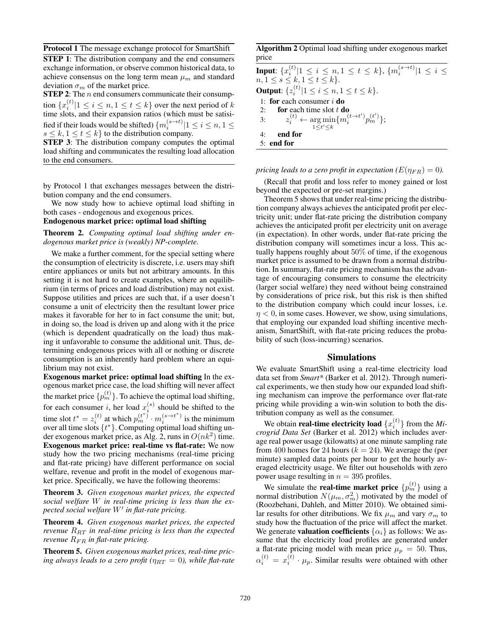Protocol 1 The message exchange protocol for SmartShift

STEP 1: The distribution company and the end consumers exchange information, or observe common historical data, to achieve consensus on the long term mean  $\mu_m$  and standard deviation  $\sigma_m$  of the market price.

**STEP 2:** The  $n$  end consumers communicate their consumption  $\{x_i^{(t)} | 1 \le i \le n, 1 \le t \le k\}$  over the next period of  $k$ time slots, and their expansion ratios (which must be satisified if their loads would be shifted)  $\{m_i^{(s\rightarrow t)}|1\leq i\leq n, 1\leq$  $s \leq k, 1 \leq t \leq k$  to the distribution company.

STEP 3: The distribution company computes the optimal load shifting and communicates the resulting load allocation to the end consumers.

by Protocol 1 that exchanges messages between the distribution company and the end consumers.

We now study how to achieve optimal load shifting in both cases - endogenous and exogenous prices.

Endogenous market price: optimal load shifting

Theorem 2. *Computing optimal load shifting under endogenous market price is (weakly) NP-complete.*

We make a further comment, for the special setting where the consumption of electricity is discrete, i.e. users may shift entire appliances or units but not arbitrary amounts. In this setting it is not hard to create examples, where an equilibrium (in terms of prices and load distribution) may not exist. Suppose utilities and prices are such that, if a user doesn't consume a unit of electricity then the resultant lower price makes it favorable for her to in fact consume the unit; but, in doing so, the load is driven up and along with it the price (which is dependent quadratically on the load) thus making it unfavorable to consume the additional unit. Thus, determining endogenous prices with all or nothing or discrete consumption is an inherently hard problem where an equilibrium may not exist.

Exogenous market price: optimal load shifting In the exogenous market price case, the load shifting will never affect the market price  $\{p_m^{(t)}\}$ . To achieve the optimal load shifting, for each consumer *i*, her load  $x_i^{(s)}$  should be shifted to the time slot  $t^* = z_i^{(t)}$  at which  $p_m^{(t^*)} \cdot m_i^{(s \to t^*)}$  is the minimum over all time slots  $\{t^*\}$ . Computing optimal load shifting under exogenous market price, as Alg. 2, runs in  $O(nk^2)$  time. Exogenous market price: real-time vs flat-rate: We now study how the two pricing mechanisms (real-time pricing and flat-rate pricing) have different performance on social welfare, revenue and profit in the model of exogenous market price. Specifically, we have the following theorems:

Theorem 3. *Given exogenous market prices, the expected social welfare* W *in real-time pricing is less than the expected social welfare* W<sup>0</sup> *in flat-rate pricing.*

Theorem 4. *Given exogenous market prices, the expected revenue*  $R_{RT}$  *in real-time pricing is less than the expected revenue*  $R_{FR}$  *in flat-rate pricing.* 

Theorem 5. *Given exogenous market prices, real-time pricing always leads to a zero profit* ( $\eta_{RT} = 0$ ), while flat-rate

Algorithm 2 Optimal load shifting under exogenous market price

Input:  $\{x_i^{(t)}|1\leq i\leq n, 1\leq t\leq k\},$   $\{m_i^{(s\to t)}|1\leq i\leq k\}$  $n, 1 \leq s \leq k, 1 \leq t \leq k$ . **Output**:  $\{z_i^{(t)} | 1 \le i \le n, 1 \le t \le k\}.$ 1: for each consumer  $i$  do 2: for each time slot  $t \textbf{d}\textbf{o}$ 3:  $z_i^{(t)} \leftarrow \argmin_{1 \le t' \le k} \{ m_i^{(t \to t')} p_m^{(t')} \};$ 4: end for 5: end for

*pricing leads to a zero profit in expectation (* $E(\eta_{FR}) = 0$ *).* 

(Recall that profit and loss refer to money gained or lost beyond the expected or pre-set margins.)

Theorem 5 shows that under real-time pricing the distribution company always achieves the anticipated profit per electricity unit; under flat-rate pricing the distribution company achieves the anticipated profit per electricity unit on average (in expectation). In other words, under flat-rate pricing the distribution company will sometimes incur a loss. This actually happens roughly about 50% of time, if the exogenous market price is assumed to be drawn from a normal distribution. In summary, flat-rate pricing mechanism has the advantage of encouraging consumers to consume the electricity (larger social welfare) they need without being constrained by considerations of price risk, but this risk is then shifted to the distribution company which could incur losses, i.e.  $\eta$  < 0, in some cases. However, we show, using simulations, that employing our expanded load shifting incentive mechanism, SmartShift, with flat-rate pricing reduces the probability of such (loss-incurring) scenarios.

### Simulations

We evaluate SmartShift using a real-time electricity load data set from *Smart\** (Barker et al. 2012). Through numerical experiments, we then study how our expanded load shifting mechanism can improve the performance over flat-rate pricing while providing a win-win solution to both the distribution company as well as the consumer.

We obtain **real-time electricity load**  $\{x_i^{(t)}\}$  from the  $Mi$ *crogrid Data Set* (Barker et al. 2012) which includes average real power usage (kilowatts) at one minute sampling rate from 400 homes for 24 hours ( $k = 24$ ). We average the (per minute) sampled data points per hour to get the hourly averaged electricity usage. We filter out households with zero power usage resulting in  $n = 395$  profiles.

We simulate the **real-time market price**  $\{p_m^{(t)}\}$  using a normal distribution  $N(\mu_m, \sigma_m^2)$  motivated by the model of (Roozbehani, Dahleh, and Mitter 2010). We obtained similar results for other ditributions. We fix  $\mu_m$  and vary  $\sigma_m$  to study how the fluctuation of the price will affect the market. We generate **valuation coefficients**  $\{\alpha_i\}$  as follows: We assume that the electricity load profiles are generated under a flat-rate pricing model with mean price  $\mu_p = 50$ . Thus,  $\alpha_i^{(t)} = x_i^{(t)} \cdot \mu_p$ . Similar results were obtained with other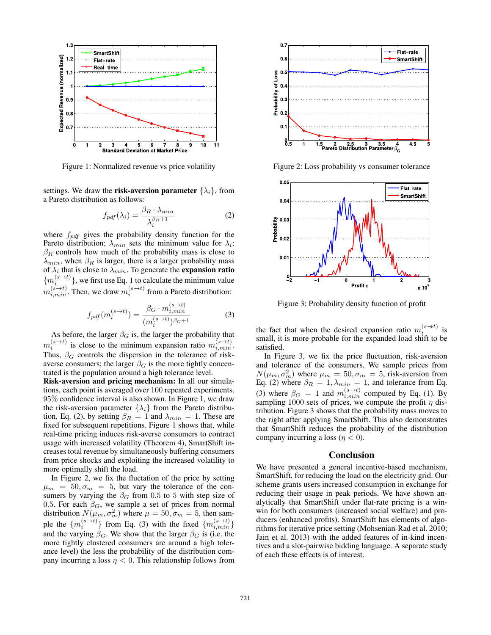

Figure 1: Normalized revenue vs price volatility

settings. We draw the **risk-aversion parameter**  $\{\lambda_i\}$ , from a Pareto distribution as follows:

$$
f_{pdf}(\lambda_i) = \frac{\beta_R \cdot \lambda_{min}}{\lambda_i^{\beta_R + 1}} \tag{2}
$$

where  $f_{pdf}$  gives the probability density function for the Pareto distribution;  $\lambda_{min}$  sets the minimum value for  $\lambda_i$ ;  $\beta_R$  controls how much of the probability mass is close to  $\lambda_{min}$ , when  $\beta_R$  is larger, there is a larger probability mass of  $\lambda_i$  that is close to  $\lambda_{min}$ . To generate the **expansion ratio**  $\{m_i^{(s\rightarrow t)}\}$ , we first use Eq. 1 to calculate the minimum value  $m_{i,min}^{(s\rightarrow t)}$ . Then, we draw  $m_i^{(s\rightarrow t)}$  from a Pareto distribution:

$$
f_{pdf}(m_i^{(s \to t)}) = \frac{\beta_G \cdot m_{i,min}^{(s \to t)}}{(m_i^{(s \to t)})^{\beta_G + 1}}
$$
(3)

As before, the larger  $\beta_G$  is, the larger the probability that  $m_i^{(s\to t)}$  is close to the minimum expansion ratio  $m_{i,min}^{(s\to t)}$ . Thus,  $\beta_G$  controls the dispersion in the tolerance of riskaverse consumers; the larger  $\beta_G$  is the more tightly concentrated is the population around a high tolerance level.

Risk-aversion and pricing mechanism: In all our simulations, each point is averaged over 100 repeated experiments. 95% confidence interval is also shown. In Figure 1, we draw the risk-aversion parameter  $\{\lambda_i\}$  from the Pareto distribution, Eq. (2), by setting  $\beta_R = 1$  and  $\lambda_{min} = 1$ . These are fixed for subsequent repetitions. Figure 1 shows that, while real-time pricing induces risk-averse consumers to contract usage with increased volatility (Theorem 4), SmartShift increases total revenue by simultaneously buffering consumers from price shocks and exploiting the increased volatility to more optimally shift the load.

In Figure 2, we fix the fluctation of the price by setting  $\mu_m = 50, \sigma_m = 5$ , but vary the tolerance of the consumers by varying the  $\beta_G$  from 0.5 to 5 with step size of 0.5. For each  $\beta_G$ , we sample a set of prices from normal distribution  $N(\mu_m, \sigma_m^2)$  where  $\mu = 50, \sigma_m = 5$ , then sample the  $\{m_i^{(s\to t)}\}$  from Eq. (3) with the fixed  $\{m_{i,min}^{(s\to t)}\}$ and the varying  $\beta_G$ . We show that the larger  $\beta_G$  is (i.e. the more tightly clustered consumers are around a high tolerance level) the less the probability of the distribution company incurring a loss  $\eta$  < 0. This relationship follows from



Figure 2: Loss probability vs consumer tolerance



Figure 3: Probability density function of profit

the fact that when the desired expansion ratio  $m_i^{(s \to t)}$  is small, it is more probable for the expanded load shift to be satisfied.

In Figure 3, we fix the price fluctuation, risk-aversion and tolerance of the consumers. We sample prices from  $N(\mu_m, \sigma_m^2)$  where  $\mu_m = 50, \sigma_m = 5$ , risk-aversion from Eq. (2) where  $\beta_R = 1, \lambda_{min} = 1$ , and tolerance from Eq. (3) where  $\beta_G = 1$  and  $m_{i,min}^{(s \to t)}$  computed by Eq. (1). By sampling 1000 sets of prices, we compute the profit  $\eta$  distribution. Figure 3 shows that the probability mass moves to the right after applying SmartShift. This also demonstrates that SmartShift reduces the probability of the distribution company incurring a loss ( $\eta$  < 0).

#### Conclusion

We have presented a general incentive-based mechanism, SmartShift, for reducing the load on the electricity grid. Our scheme grants users increased consumption in exchange for reducing their usage in peak periods. We have shown analytically that SmartShift under flat-rate pricing is a winwin for both consumers (increased social welfare) and producers (enhanced profits). SmartShift has elements of algorithms for iterative price setting (Mohsenian-Rad et al. 2010; Jain et al. 2013) with the added features of in-kind incentives and a slot-pairwise bidding language. A separate study of each these effects is of interest.